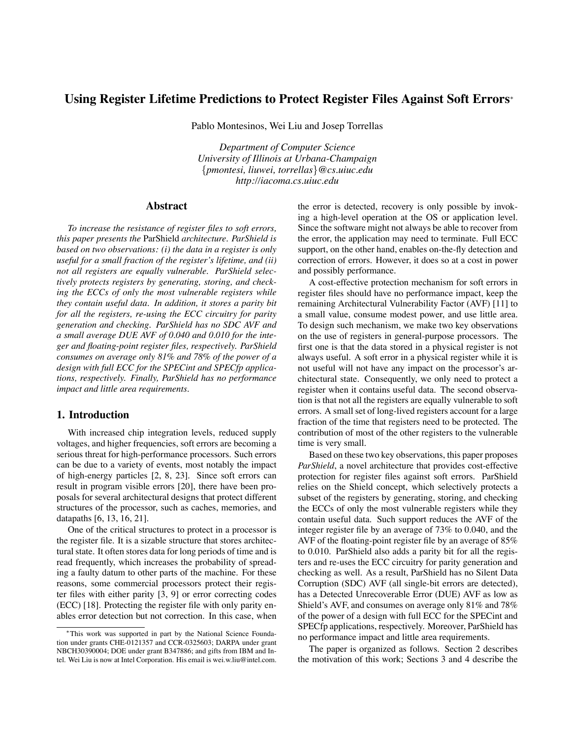# **Using Register Lifetime Predictions to Protect Register Files Against Soft Errors**<sup>∗</sup>

Pablo Montesinos, Wei Liu and Josep Torrellas

*Department of Computer Science University of Illinois at Urbana-Champaign* {*pmontesi, liuwei, torrellas*}*@cs.uiuc.edu http://iacoma.cs.uiuc.edu*

# **Abstract**

*To increase the resistance of register files to soft errors, this paper presents the* ParShield *architecture. ParShield is based on two observations: (i) the data in a register is only useful for a small fraction of the register's lifetime, and (ii) not all registers are equally vulnerable. ParShield selectively protects registers by generating, storing, and checking the ECCs of only the most vulnerable registers while they contain useful data. In addition, it stores a parity bit for all the registers, re-using the ECC circuitry for parity generation and checking. ParShield has no SDC AVF and a small average DUE AVF of 0.040 and 0.010 for the integer and floating-point register files, respectively. ParShield consumes on average only 81% and 78% of the power of a design with full ECC for the SPECint and SPECfp applications, respectively. Finally, ParShield has no performance impact and little area requirements.*

# **1. Introduction**

With increased chip integration levels, reduced supply voltages, and higher frequencies, soft errors are becoming a serious threat for high-performance processors. Such errors can be due to a variety of events, most notably the impact of high-energy particles [2, 8, 23]. Since soft errors can result in program visible errors [20], there have been proposals for several architectural designs that protect different structures of the processor, such as caches, memories, and datapaths [6, 13, 16, 21].

One of the critical structures to protect in a processor is the register file. It is a sizable structure that stores architectural state. It often stores data for long periods of time and is read frequently, which increases the probability of spreading a faulty datum to other parts of the machine. For these reasons, some commercial processors protect their register files with either parity [3, 9] or error correcting codes (ECC) [18]. Protecting the register file with only parity enables error detection but not correction. In this case, when the error is detected, recovery is only possible by invoking a high-level operation at the OS or application level. Since the software might not always be able to recover from the error, the application may need to terminate. Full ECC support, on the other hand, enables on-the-fly detection and correction of errors. However, it does so at a cost in power and possibly performance.

A cost-effective protection mechanism for soft errors in register files should have no performance impact, keep the remaining Architectural Vulnerability Factor (AVF) [11] to a small value, consume modest power, and use little area. To design such mechanism, we make two key observations on the use of registers in general-purpose processors. The first one is that the data stored in a physical register is not always useful. A soft error in a physical register while it is not useful will not have any impact on the processor's architectural state. Consequently, we only need to protect a register when it contains useful data. The second observation is that not all the registers are equally vulnerable to soft errors. A small set of long-lived registers account for a large fraction of the time that registers need to be protected. The contribution of most of the other registers to the vulnerable time is very small.

Based on these two key observations, this paper proposes *ParShield*, a novel architecture that provides cost-effective protection for register files against soft errors. ParShield relies on the Shield concept, which selectively protects a subset of the registers by generating, storing, and checking the ECCs of only the most vulnerable registers while they contain useful data. Such support reduces the AVF of the integer register file by an average of 73% to 0.040, and the AVF of the floating-point register file by an average of 85% to 0.010. ParShield also adds a parity bit for all the registers and re-uses the ECC circuitry for parity generation and checking as well. As a result, ParShield has no Silent Data Corruption (SDC) AVF (all single-bit errors are detected), has a Detected Unrecoverable Error (DUE) AVF as low as Shield's AVF, and consumes on average only 81% and 78% of the power of a design with full ECC for the SPECint and SPECfp applications, respectively. Moreover, ParShield has no performance impact and little area requirements.

The paper is organized as follows. Section 2 describes the motivation of this work; Sections 3 and 4 describe the

<sup>∗</sup>This work was supported in part by the National Science Foundation under grants CHE-0121357 and CCR-0325603; DARPA under grant NBCH30390004; DOE under grant B347886; and gifts from IBM and Intel. Wei Liu is now at Intel Corporation. His email is wei.w.liu@intel.com.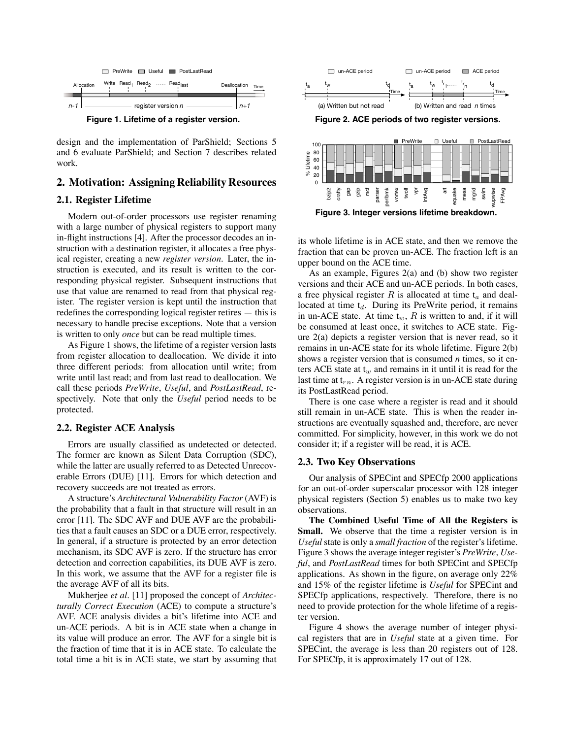

**Figure 1. Lifetime of a register version.**

design and the implementation of ParShield; Sections 5 and 6 evaluate ParShield; and Section 7 describes related work.

# **2. Motivation: Assigning Reliability Resources**

# **2.1. Register Lifetime**

Modern out-of-order processors use register renaming with a large number of physical registers to support many in-flight instructions [4]. After the processor decodes an instruction with a destination register, it allocates a free physical register, creating a new *register version*. Later, the instruction is executed, and its result is written to the corresponding physical register. Subsequent instructions that use that value are renamed to read from that physical register. The register version is kept until the instruction that redefines the corresponding logical register retires — this is necessary to handle precise exceptions. Note that a version is written to only *once* but can be read multiple times.

As Figure 1 shows, the lifetime of a register version lasts from register allocation to deallocation. We divide it into three different periods: from allocation until write; from write until last read; and from last read to deallocation. We call these periods *PreWrite*, *Useful*, and *PostLastRead*, respectively. Note that only the *Useful* period needs to be protected.

# **2.2. Register ACE Analysis**

Errors are usually classified as undetected or detected. The former are known as Silent Data Corruption (SDC), while the latter are usually referred to as Detected Unrecoverable Errors (DUE) [11]. Errors for which detection and recovery succeeds are not treated as errors.

A structure's *Architectural Vulnerability Factor* (AVF) is the probability that a fault in that structure will result in an error [11]. The SDC AVF and DUE AVF are the probabilities that a fault causes an SDC or a DUE error, respectively. In general, if a structure is protected by an error detection mechanism, its SDC AVF is zero. If the structure has error detection and correction capabilities, its DUE AVF is zero. In this work, we assume that the AVF for a register file is the average AVF of all its bits.

Mukherjee *et al.* [11] proposed the concept of *Architecturally Correct Execution* (ACE) to compute a structure's AVF. ACE analysis divides a bit's lifetime into ACE and un-ACE periods. A bit is in ACE state when a change in its value will produce an error. The AVF for a single bit is the fraction of time that it is in ACE state. To calculate the total time a bit is in ACE state, we start by assuming that





its whole lifetime is in ACE state, and then we remove the fraction that can be proven un-ACE. The fraction left is an upper bound on the ACE time.

As an example, Figures 2(a) and (b) show two register versions and their ACE and un-ACE periods. In both cases, a free physical register R is allocated at time  $t_a$  and deallocated at time  $t_d$ . During its PreWrite period, it remains in un-ACE state. At time  $t_w$ , R is written to and, if it will be consumed at least once, it switches to ACE state. Figure 2(a) depicts a register version that is never read, so it remains in un-ACE state for its whole lifetime. Figure 2(b) shows a register version that is consumed *n* times, so it enters ACE state at  $t_w$  and remains in it until it is read for the last time at  $t_{rn}$ . A register version is in un-ACE state during its PostLastRead period.

There is one case where a register is read and it should still remain in un-ACE state. This is when the reader instructions are eventually squashed and, therefore, are never committed. For simplicity, however, in this work we do not consider it; if a register will be read, it is ACE.

#### **2.3. Two Key Observations**

Our analysis of SPECint and SPECfp 2000 applications for an out-of-order superscalar processor with 128 integer physical registers (Section 5) enables us to make two key observations.

**The Combined Useful Time of All the Registers is Small.** We observe that the time a register version is in *Useful* state is only a *small fraction* of the register's lifetime. Figure 3 shows the average integer register's *PreWrite*, *Useful*, and *PostLastRead* times for both SPECint and SPECfp applications. As shown in the figure, on average only 22% and 15% of the register lifetime is *Useful* for SPECint and SPECfp applications, respectively. Therefore, there is no need to provide protection for the whole lifetime of a register version.

Figure 4 shows the average number of integer physical registers that are in *Useful* state at a given time. For SPECint, the average is less than 20 registers out of 128. For SPECfp, it is approximately 17 out of 128.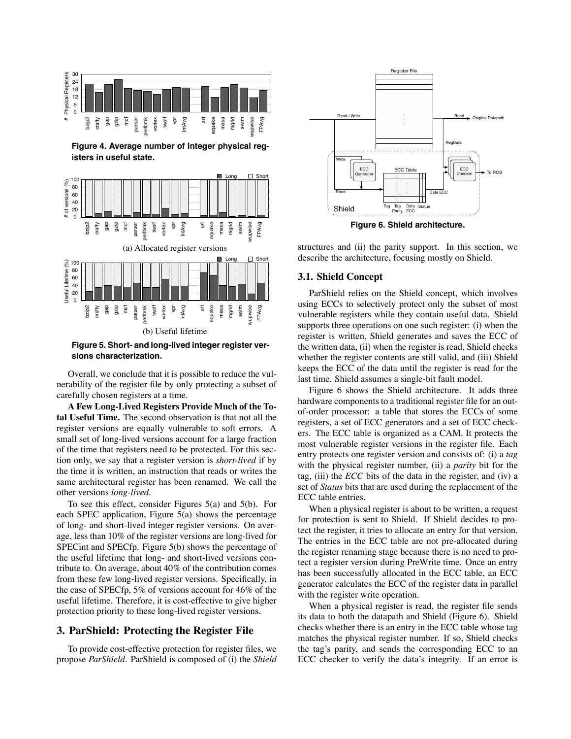

**Figure 4. Average number of integer physical registers in useful state.**



**Figure 5. Short- and long-lived integer register versions characterization.**

Overall, we conclude that it is possible to reduce the vulnerability of the register file by only protecting a subset of carefully chosen registers at a time.

**A Few Long-Lived Registers Provide Much of the Total Useful Time.** The second observation is that not all the register versions are equally vulnerable to soft errors. A small set of long-lived versions account for a large fraction of the time that registers need to be protected. For this section only, we say that a register version is *short-lived* if by the time it is written, an instruction that reads or writes the same architectural register has been renamed. We call the other versions *long-lived*.

To see this effect, consider Figures 5(a) and 5(b). For each SPEC application, Figure 5(a) shows the percentage of long- and short-lived integer register versions. On average, less than 10% of the register versions are long-lived for SPECint and SPECfp. Figure 5(b) shows the percentage of the useful lifetime that long- and short-lived versions contribute to. On average, about 40% of the contribution comes from these few long-lived register versions. Specifically, in the case of SPECfp, 5% of versions account for 46% of the useful lifetime. Therefore, it is cost-effective to give higher protection priority to these long-lived register versions.

# **3. ParShield: Protecting the Register File**

To provide cost-effective protection for register files, we propose *ParShield*. ParShield is composed of (i) the *Shield*



**Figure 6. Shield architecture.**

structures and (ii) the parity support. In this section, we describe the architecture, focusing mostly on Shield.

# **3.1. Shield Concept**

ParShield relies on the Shield concept, which involves using ECCs to selectively protect only the subset of most vulnerable registers while they contain useful data. Shield supports three operations on one such register: (i) when the register is written, Shield generates and saves the ECC of the written data, (ii) when the register is read, Shield checks whether the register contents are still valid, and (iii) Shield keeps the ECC of the data until the register is read for the last time. Shield assumes a single-bit fault model.

Figure 6 shows the Shield architecture. It adds three hardware components to a traditional register file for an outof-order processor: a table that stores the ECCs of some registers, a set of ECC generators and a set of ECC checkers. The ECC table is organized as a CAM. It protects the most vulnerable register versions in the register file. Each entry protects one register version and consists of: (i) a *tag* with the physical register number, (ii) a *parity* bit for the tag, (iii) the *ECC* bits of the data in the register, and (iv) a set of *Status* bits that are used during the replacement of the ECC table entries.

When a physical register is about to be written, a request for protection is sent to Shield. If Shield decides to protect the register, it tries to allocate an entry for that version. The entries in the ECC table are not pre-allocated during the register renaming stage because there is no need to protect a register version during PreWrite time. Once an entry has been successfully allocated in the ECC table, an ECC generator calculates the ECC of the register data in parallel with the register write operation.

When a physical register is read, the register file sends its data to both the datapath and Shield (Figure 6). Shield checks whether there is an entry in the ECC table whose tag matches the physical register number. If so, Shield checks the tag's parity, and sends the corresponding ECC to an ECC checker to verify the data's integrity. If an error is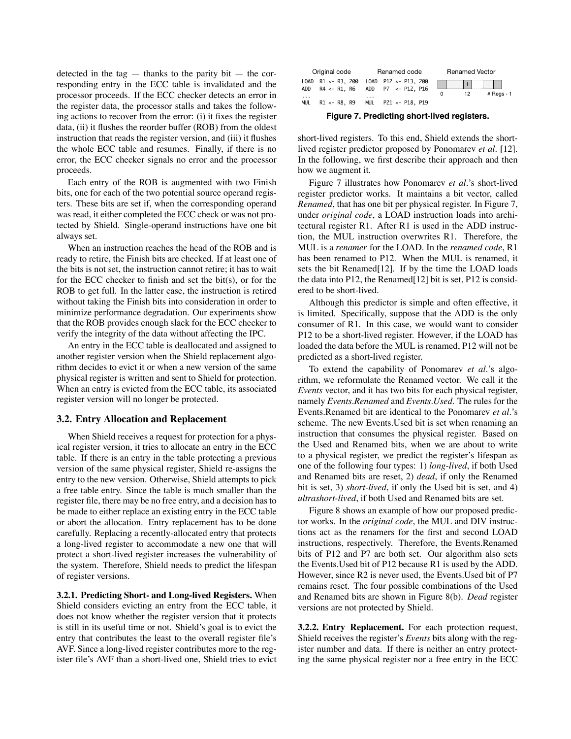detected in the tag  $-$  thanks to the parity bit  $-$  the corresponding entry in the ECC table is invalidated and the processor proceeds. If the ECC checker detects an error in the register data, the processor stalls and takes the following actions to recover from the error: (i) it fixes the register data, (ii) it flushes the reorder buffer (ROB) from the oldest instruction that reads the register version, and (iii) it flushes the whole ECC table and resumes. Finally, if there is no error, the ECC checker signals no error and the processor proceeds.

Each entry of the ROB is augmented with two Finish bits, one for each of the two potential source operand registers. These bits are set if, when the corresponding operand was read, it either completed the ECC check or was not protected by Shield. Single-operand instructions have one bit always set.

When an instruction reaches the head of the ROB and is ready to retire, the Finish bits are checked. If at least one of the bits is not set, the instruction cannot retire; it has to wait for the ECC checker to finish and set the bit(s), or for the ROB to get full. In the latter case, the instruction is retired without taking the Finish bits into consideration in order to minimize performance degradation. Our experiments show that the ROB provides enough slack for the ECC checker to verify the integrity of the data without affecting the IPC.

An entry in the ECC table is deallocated and assigned to another register version when the Shield replacement algorithm decides to evict it or when a new version of the same physical register is written and sent to Shield for protection. When an entry is evicted from the ECC table, its associated register version will no longer be protected.

### **3.2. Entry Allocation and Replacement**

When Shield receives a request for protection for a physical register version, it tries to allocate an entry in the ECC table. If there is an entry in the table protecting a previous version of the same physical register, Shield re-assigns the entry to the new version. Otherwise, Shield attempts to pick a free table entry. Since the table is much smaller than the register file, there may be no free entry, and a decision has to be made to either replace an existing entry in the ECC table or abort the allocation. Entry replacement has to be done carefully. Replacing a recently-allocated entry that protects a long-lived register to accommodate a new one that will protect a short-lived register increases the vulnerability of the system. Therefore, Shield needs to predict the lifespan of register versions.

**3.2.1. Predicting Short- and Long-lived Registers.** When Shield considers evicting an entry from the ECC table, it does not know whether the register version that it protects is still in its useful time or not. Shield's goal is to evict the entry that contributes the least to the overall register file's AVF. Since a long-lived register contributes more to the register file's AVF than a short-lived one, Shield tries to evict



**Figure 7. Predicting short-lived registers.**

short-lived registers. To this end, Shield extends the shortlived register predictor proposed by Ponomarev *et al.* [12]. In the following, we first describe their approach and then how we augment it.

Figure 7 illustrates how Ponomarev *et al.*'s short-lived register predictor works. It maintains a bit vector, called *Renamed*, that has one bit per physical register. In Figure 7, under *original code*, a LOAD instruction loads into architectural register R1. After R1 is used in the ADD instruction, the MUL instruction overwrites R1. Therefore, the MUL is a *renamer* for the LOAD. In the *renamed code*, R1 has been renamed to P12. When the MUL is renamed, it sets the bit Renamed[12]. If by the time the LOAD loads the data into P12, the Renamed[12] bit is set, P12 is considered to be short-lived.

Although this predictor is simple and often effective, it is limited. Specifically, suppose that the ADD is the only consumer of R1. In this case, we would want to consider P12 to be a short-lived register. However, if the LOAD has loaded the data before the MUL is renamed, P12 will not be predicted as a short-lived register.

To extend the capability of Ponomarev *et al.*'s algorithm, we reformulate the Renamed vector. We call it the *Events* vector, and it has two bits for each physical register, namely *Events.Renamed* and *Events.Used*. The rules for the Events.Renamed bit are identical to the Ponomarev *et al.*'s scheme. The new Events.Used bit is set when renaming an instruction that consumes the physical register. Based on the Used and Renamed bits, when we are about to write to a physical register, we predict the register's lifespan as one of the following four types: 1) *long-lived*, if both Used and Renamed bits are reset, 2) *dead*, if only the Renamed bit is set, 3) *short-lived*, if only the Used bit is set, and 4) *ultrashort-lived*, if both Used and Renamed bits are set.

Figure 8 shows an example of how our proposed predictor works. In the *original code*, the MUL and DIV instructions act as the renamers for the first and second LOAD instructions, respectively. Therefore, the Events.Renamed bits of P12 and P7 are both set. Our algorithm also sets the Events.Used bit of P12 because R1 is used by the ADD. However, since R2 is never used, the Events.Used bit of P7 remains reset. The four possible combinations of the Used and Renamed bits are shown in Figure 8(b). *Dead* register versions are not protected by Shield.

**3.2.2. Entry Replacement.** For each protection request, Shield receives the register's *Events* bits along with the register number and data. If there is neither an entry protecting the same physical register nor a free entry in the ECC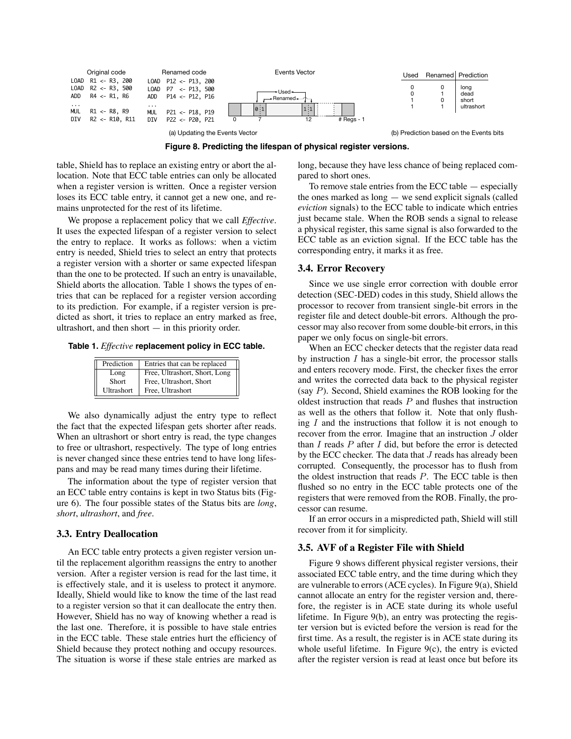

**Figure 8. Predicting the lifespan of physical register versions.**

table, Shield has to replace an existing entry or abort the allocation. Note that ECC table entries can only be allocated when a register version is written. Once a register version loses its ECC table entry, it cannot get a new one, and remains unprotected for the rest of its lifetime.

We propose a replacement policy that we call *Effective*. It uses the expected lifespan of a register version to select the entry to replace. It works as follows: when a victim entry is needed, Shield tries to select an entry that protects a register version with a shorter or same expected lifespan than the one to be protected. If such an entry is unavailable, Shield aborts the allocation. Table 1 shows the types of entries that can be replaced for a register version according to its prediction. For example, if a register version is predicted as short, it tries to replace an entry marked as free, ultrashort, and then short — in this priority order.

**Table 1.** *Effective* **replacement policy in ECC table.**

| Prediction                  | Entries that can be replaced                                                 |
|-----------------------------|------------------------------------------------------------------------------|
| Long<br>Short<br>Ultrashort | Free, Ultrashort, Short, Long<br>Free, Ultrashort, Short<br>Free, Ultrashort |

We also dynamically adjust the entry type to reflect the fact that the expected lifespan gets shorter after reads. When an ultrashort or short entry is read, the type changes to free or ultrashort, respectively. The type of long entries is never changed since these entries tend to have long lifespans and may be read many times during their lifetime.

The information about the type of register version that an ECC table entry contains is kept in two Status bits (Figure 6). The four possible states of the Status bits are *long*, *short*, *ultrashort*, and *free*.

### **3.3. Entry Deallocation**

An ECC table entry protects a given register version until the replacement algorithm reassigns the entry to another version. After a register version is read for the last time, it is effectively stale, and it is useless to protect it anymore. Ideally, Shield would like to know the time of the last read to a register version so that it can deallocate the entry then. However, Shield has no way of knowing whether a read is the last one. Therefore, it is possible to have stale entries in the ECC table. These stale entries hurt the efficiency of Shield because they protect nothing and occupy resources. The situation is worse if these stale entries are marked as

long, because they have less chance of being replaced compared to short ones.

To remove stale entries from the ECC table — especially the ones marked as long — we send explicit signals (called *eviction* signals) to the ECC table to indicate which entries just became stale. When the ROB sends a signal to release a physical register, this same signal is also forwarded to the ECC table as an eviction signal. If the ECC table has the corresponding entry, it marks it as free.

#### **3.4. Error Recovery**

Since we use single error correction with double error detection (SEC-DED) codes in this study, Shield allows the processor to recover from transient single-bit errors in the register file and detect double-bit errors. Although the processor may also recover from some double-bit errors, in this paper we only focus on single-bit errors.

When an ECC checker detects that the register data read by instruction  $I$  has a single-bit error, the processor stalls and enters recovery mode. First, the checker fixes the error and writes the corrected data back to the physical register (say P). Second, Shield examines the ROB looking for the oldest instruction that reads  $P$  and flushes that instruction as well as the others that follow it. Note that only flushing  $I$  and the instructions that follow it is not enough to recover from the error. Imagine that an instruction J older than  $I$  reads  $P$  after  $I$  did, but before the error is detected by the ECC checker. The data that  $J$  reads has already been corrupted. Consequently, the processor has to flush from the oldest instruction that reads  $P$ . The ECC table is then flushed so no entry in the ECC table protects one of the registers that were removed from the ROB. Finally, the processor can resume.

If an error occurs in a mispredicted path, Shield will still recover from it for simplicity.

#### **3.5. AVF of a Register File with Shield**

Figure 9 shows different physical register versions, their associated ECC table entry, and the time during which they are vulnerable to errors (ACE cycles). In Figure 9(a), Shield cannot allocate an entry for the register version and, therefore, the register is in ACE state during its whole useful lifetime. In Figure 9(b), an entry was protecting the register version but is evicted before the version is read for the first time. As a result, the register is in ACE state during its whole useful lifetime. In Figure 9(c), the entry is evicted after the register version is read at least once but before its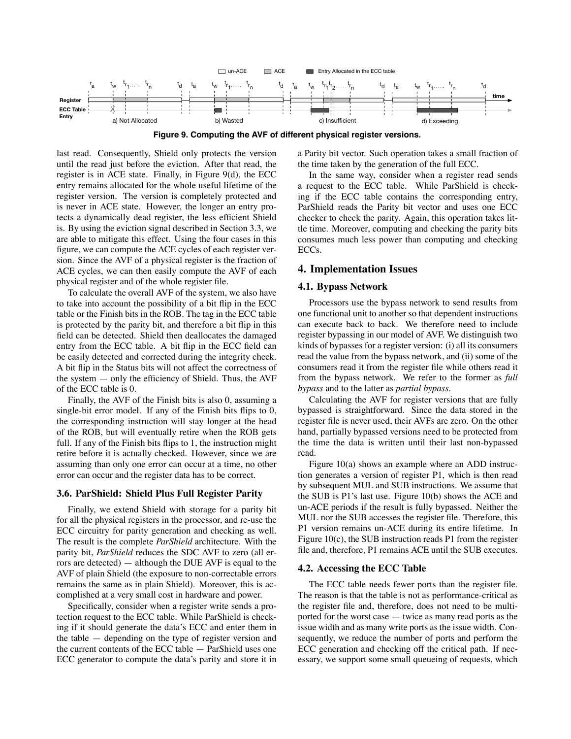

**Figure 9. Computing the AVF of different physical register versions.**

last read. Consequently, Shield only protects the version until the read just before the eviction. After that read, the register is in ACE state. Finally, in Figure 9(d), the ECC entry remains allocated for the whole useful lifetime of the register version. The version is completely protected and is never in ACE state. However, the longer an entry protects a dynamically dead register, the less efficient Shield is. By using the eviction signal described in Section 3.3, we are able to mitigate this effect. Using the four cases in this figure, we can compute the ACE cycles of each register version. Since the AVF of a physical register is the fraction of ACE cycles, we can then easily compute the AVF of each physical register and of the whole register file.

To calculate the overall AVF of the system, we also have to take into account the possibility of a bit flip in the ECC table or the Finish bits in the ROB. The tag in the ECC table is protected by the parity bit, and therefore a bit flip in this field can be detected. Shield then deallocates the damaged entry from the ECC table. A bit flip in the ECC field can be easily detected and corrected during the integrity check. A bit flip in the Status bits will not affect the correctness of the system — only the efficiency of Shield. Thus, the AVF of the ECC table is 0.

Finally, the AVF of the Finish bits is also 0, assuming a single-bit error model. If any of the Finish bits flips to 0, the corresponding instruction will stay longer at the head of the ROB, but will eventually retire when the ROB gets full. If any of the Finish bits flips to 1, the instruction might retire before it is actually checked. However, since we are assuming than only one error can occur at a time, no other error can occur and the register data has to be correct.

### **3.6. ParShield: Shield Plus Full Register Parity**

Finally, we extend Shield with storage for a parity bit for all the physical registers in the processor, and re-use the ECC circuitry for parity generation and checking as well. The result is the complete *ParShield* architecture. With the parity bit, *ParShield* reduces the SDC AVF to zero (all errors are detected) — although the DUE AVF is equal to the AVF of plain Shield (the exposure to non-correctable errors remains the same as in plain Shield). Moreover, this is accomplished at a very small cost in hardware and power.

Specifically, consider when a register write sends a protection request to the ECC table. While ParShield is checking if it should generate the data's ECC and enter them in the table — depending on the type of register version and the current contents of the ECC table — ParShield uses one ECC generator to compute the data's parity and store it in a Parity bit vector. Such operation takes a small fraction of the time taken by the generation of the full ECC.

In the same way, consider when a register read sends a request to the ECC table. While ParShield is checking if the ECC table contains the corresponding entry, ParShield reads the Parity bit vector and uses one ECC checker to check the parity. Again, this operation takes little time. Moreover, computing and checking the parity bits consumes much less power than computing and checking ECCs.

#### **4. Implementation Issues**

#### **4.1. Bypass Network**

Processors use the bypass network to send results from one functional unit to another so that dependent instructions can execute back to back. We therefore need to include register bypassing in our model of AVF. We distinguish two kinds of bypasses for a register version: (i) all its consumers read the value from the bypass network, and (ii) some of the consumers read it from the register file while others read it from the bypass network. We refer to the former as *full bypass* and to the latter as *partial bypass*.

Calculating the AVF for register versions that are fully bypassed is straightforward. Since the data stored in the register file is never used, their AVFs are zero. On the other hand, partially bypassed versions need to be protected from the time the data is written until their last non-bypassed read.

Figure 10(a) shows an example where an ADD instruction generates a version of register P1, which is then read by subsequent MUL and SUB instructions. We assume that the SUB is P1's last use. Figure 10(b) shows the ACE and un-ACE periods if the result is fully bypassed. Neither the MUL nor the SUB accesses the register file. Therefore, this P1 version remains un-ACE during its entire lifetime. In Figure 10(c), the SUB instruction reads P1 from the register file and, therefore, P1 remains ACE until the SUB executes.

#### **4.2. Accessing the ECC Table**

The ECC table needs fewer ports than the register file. The reason is that the table is not as performance-critical as the register file and, therefore, does not need to be multiported for the worst case — twice as many read ports as the issue width and as many write ports as the issue width. Consequently, we reduce the number of ports and perform the ECC generation and checking off the critical path. If necessary, we support some small queueing of requests, which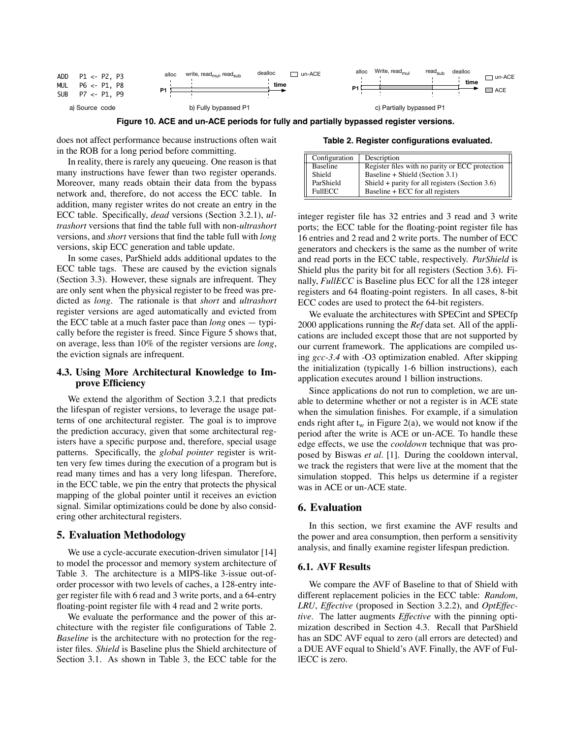

**Figure 10. ACE and un-ACE periods for fully and partially bypassed register versions.**

does not affect performance because instructions often wait in the ROB for a long period before committing.

In reality, there is rarely any queueing. One reason is that many instructions have fewer than two register operands. Moreover, many reads obtain their data from the bypass network and, therefore, do not access the ECC table. In addition, many register writes do not create an entry in the ECC table. Specifically, *dead* versions (Section 3.2.1), *ultrashort* versions that find the table full with non-*ultrashort* versions, and *short* versions that find the table full with *long* versions, skip ECC generation and table update.

In some cases, ParShield adds additional updates to the ECC table tags. These are caused by the eviction signals (Section 3.3). However, these signals are infrequent. They are only sent when the physical register to be freed was predicted as *long*. The rationale is that *short* and *ultrashort* register versions are aged automatically and evicted from the ECC table at a much faster pace than *long* ones — typically before the register is freed. Since Figure 5 shows that, on average, less than 10% of the register versions are *long*, the eviction signals are infrequent.

### **4.3. Using More Architectural Knowledge to Improve Efficiency**

We extend the algorithm of Section 3.2.1 that predicts the lifespan of register versions, to leverage the usage patterns of one architectural register. The goal is to improve the prediction accuracy, given that some architectural registers have a specific purpose and, therefore, special usage patterns. Specifically, the *global pointer* register is written very few times during the execution of a program but is read many times and has a very long lifespan. Therefore, in the ECC table, we pin the entry that protects the physical mapping of the global pointer until it receives an eviction signal. Similar optimizations could be done by also considering other architectural registers.

#### **5. Evaluation Methodology**

We use a cycle-accurate execution-driven simulator [14] to model the processor and memory system architecture of Table 3. The architecture is a MIPS-like 3-issue out-oforder processor with two levels of caches, a 128-entry integer register file with 6 read and 3 write ports, and a 64-entry floating-point register file with 4 read and 2 write ports.

We evaluate the performance and the power of this architecture with the register file configurations of Table 2. *Baseline* is the architecture with no protection for the register files. *Shield* is Baseline plus the Shield architecture of Section 3.1. As shown in Table 3, the ECC table for the

**Table 2. Register configurations evaluated.**

| Configuration  | Description                                     |
|----------------|-------------------------------------------------|
| Baseline       | Register files with no parity or ECC protection |
| Shield         | Baseline + Shield (Section 3.1)                 |
| ParShield      | Shield + parity for all registers (Section 3.6) |
| <b>FullECC</b> | Baseline $+$ ECC for all registers              |

integer register file has 32 entries and 3 read and 3 write ports; the ECC table for the floating-point register file has 16 entries and 2 read and 2 write ports. The number of ECC generators and checkers is the same as the number of write and read ports in the ECC table, respectively. *ParShield* is Shield plus the parity bit for all registers (Section 3.6). Finally, *FullECC* is Baseline plus ECC for all the 128 integer registers and 64 floating-point registers. In all cases, 8-bit ECC codes are used to protect the 64-bit registers.

We evaluate the architectures with SPECint and SPECfp 2000 applications running the *Ref* data set. All of the applications are included except those that are not supported by our current framework. The applications are compiled using *gcc-3.4* with -O3 optimization enabled. After skipping the initialization (typically 1-6 billion instructions), each application executes around 1 billion instructions.

Since applications do not run to completion, we are unable to determine whether or not a register is in ACE state when the simulation finishes. For example, if a simulation ends right after  $t_w$  in Figure 2(a), we would not know if the period after the write is ACE or un-ACE. To handle these edge effects, we use the *cooldown* technique that was proposed by Biswas *et al.* [1]. During the cooldown interval, we track the registers that were live at the moment that the simulation stopped. This helps us determine if a register was in ACE or un-ACE state.

# **6. Evaluation**

In this section, we first examine the AVF results and the power and area consumption, then perform a sensitivity analysis, and finally examine register lifespan prediction.

#### **6.1. AVF Results**

We compare the AVF of Baseline to that of Shield with different replacement policies in the ECC table: *Random*, *LRU*, *Effective* (proposed in Section 3.2.2), and *OptEffective*. The latter augments *Effective* with the pinning optimization described in Section 4.3. Recall that ParShield has an SDC AVF equal to zero (all errors are detected) and a DUE AVF equal to Shield's AVF. Finally, the AVF of FullECC is zero.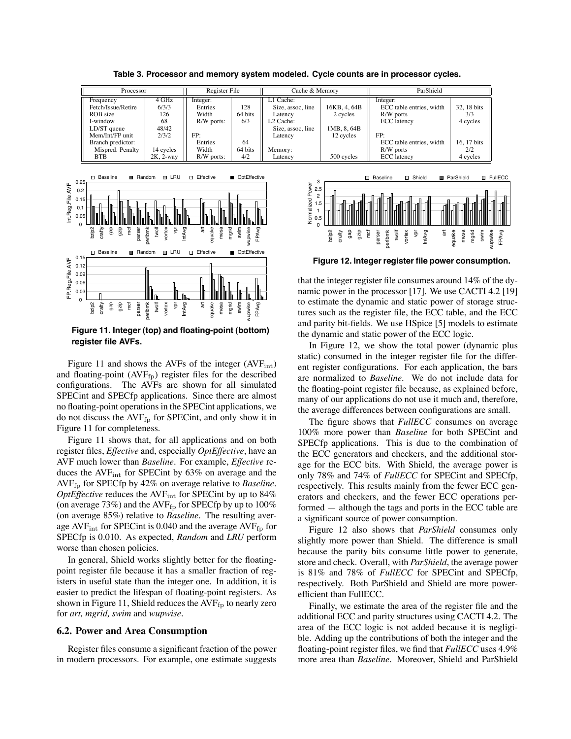

**Table 3. Processor and memory system modeled. Cycle counts are in processor cycles.**

**Figure 11. Integer (top) and floating-point (bottom) register file AVFs.**

Figure 11 and shows the AVFs of the integer  $(AVF_{int})$ and floating-point  $(AVF_{fp})$  register files for the described configurations. The AVFs are shown for all simulated SPECint and SPECfp applications. Since there are almost no floating-point operations in the SPECint applications, we do not discuss the  $AVF_{fp}$  for SPECint, and only show it in Figure 11 for completeness.

Figure 11 shows that, for all applications and on both register files, *Effective* and, especially *OptEffective*, have an AVF much lower than *Baseline*. For example, *Effective* reduces the  $AVF_{int}$  for SPECint by 63% on average and the AVFfp for SPECfp by 42% on average relative to *Baseline*. *OptEffective* reduces the AV $F_{int}$  for SPECint by up to 84% (on average 73%) and the AV $F_{fp}$  for SPECfp by up to 100% (on average 85%) relative to *Baseline*. The resulting average  $AVF_{int}$  for SPECint is 0.040 and the average  $AVF_{fp}$  for SPECfp is 0.010. As expected, *Random* and *LRU* perform worse than chosen policies.

In general, Shield works slightly better for the floatingpoint register file because it has a smaller fraction of registers in useful state than the integer one. In addition, it is easier to predict the lifespan of floating-point registers. As shown in Figure 11, Shield reduces the  $AVF_{fp}$  to nearly zero for *art, mgrid, swim* and *wupwise*.

#### **6.2. Power and Area Consumption**

Register files consume a significant fraction of the power in modern processors. For example, one estimate suggests



**Figure 12. Integer register file power consumption.**

that the integer register file consumes around 14% of the dynamic power in the processor [17]. We use CACTI 4.2 [19] to estimate the dynamic and static power of storage structures such as the register file, the ECC table, and the ECC and parity bit-fields. We use HSpice [5] models to estimate the dynamic and static power of the ECC logic.

In Figure 12, we show the total power (dynamic plus static) consumed in the integer register file for the different register configurations. For each application, the bars are normalized to *Baseline*. We do not include data for the floating-point register file because, as explained before, many of our applications do not use it much and, therefore, the average differences between configurations are small.

The figure shows that *FullECC* consumes on average 100% more power than *Baseline* for both SPECint and SPECfp applications. This is due to the combination of the ECC generators and checkers, and the additional storage for the ECC bits. With Shield, the average power is only 78% and 74% of *FullECC* for SPECint and SPECfp, respectively. This results mainly from the fewer ECC generators and checkers, and the fewer ECC operations performed — although the tags and ports in the ECC table are a significant source of power consumption.

Figure 12 also shows that *ParShield* consumes only slightly more power than Shield. The difference is small because the parity bits consume little power to generate, store and check. Overall, with *ParShield*, the average power is 81% and 78% of *FullECC* for SPECint and SPECfp, respectively. Both ParShield and Shield are more powerefficient than FullECC.

Finally, we estimate the area of the register file and the additional ECC and parity structures using CACTI 4.2. The area of the ECC logic is not added because it is negligible. Adding up the contributions of both the integer and the floating-point register files, we find that *FullECC* uses 4.9% more area than *Baseline*. Moreover, Shield and ParShield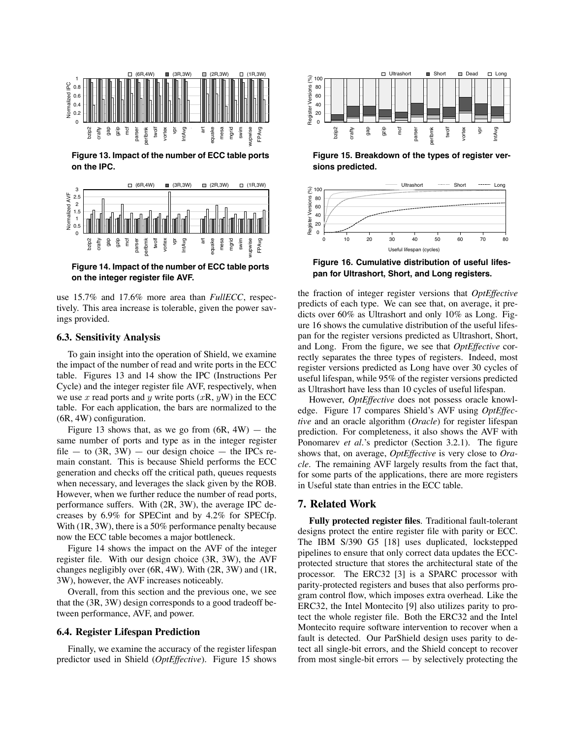

**Figure 13. Impact of the number of ECC table ports on the IPC.**



**Figure 14. Impact of the number of ECC table ports on the integer register file AVF.**

use 15.7% and 17.6% more area than *FullECC*, respectively. This area increase is tolerable, given the power savings provided.

### **6.3. Sensitivity Analysis**

To gain insight into the operation of Shield, we examine the impact of the number of read and write ports in the ECC table. Figures 13 and 14 show the IPC (Instructions Per Cycle) and the integer register file AVF, respectively, when we use x read ports and y write ports  $(xR, yW)$  in the ECC table. For each application, the bars are normalized to the (6R, 4W) configuration.

Figure 13 shows that, as we go from  $(6R, 4W)$  – the same number of ports and type as in the integer register file — to  $(3R, 3W)$  — our design choice — the IPCs remain constant. This is because Shield performs the ECC generation and checks off the critical path, queues requests when necessary, and leverages the slack given by the ROB. However, when we further reduce the number of read ports, performance suffers. With (2R, 3W), the average IPC decreases by 6.9% for SPECint and by 4.2% for SPECfp. With (1R, 3W), there is a 50% performance penalty because now the ECC table becomes a major bottleneck.

Figure 14 shows the impact on the AVF of the integer register file. With our design choice (3R, 3W), the AVF changes negligibly over (6R, 4W). With (2R, 3W) and (1R, 3W), however, the AVF increases noticeably.

Overall, from this section and the previous one, we see that the (3R, 3W) design corresponds to a good tradeoff between performance, AVF, and power.

#### **6.4. Register Lifespan Prediction**

Finally, we examine the accuracy of the register lifespan predictor used in Shield (*OptEffective*). Figure 15 shows



**Figure 15. Breakdown of the types of register versions predicted.**



**Figure 16. Cumulative distribution of useful lifespan for Ultrashort, Short, and Long registers.**

the fraction of integer register versions that *OptEffective* predicts of each type. We can see that, on average, it predicts over 60% as Ultrashort and only 10% as Long. Figure 16 shows the cumulative distribution of the useful lifespan for the register versions predicted as Ultrashort, Short, and Long. From the figure, we see that *OptEffective* correctly separates the three types of registers. Indeed, most register versions predicted as Long have over 30 cycles of useful lifespan, while 95% of the register versions predicted as Ultrashort have less than 10 cycles of useful lifespan.

However, *OptEffective* does not possess oracle knowledge. Figure 17 compares Shield's AVF using *OptEffective* and an oracle algorithm (*Oracle*) for register lifespan prediction. For completeness, it also shows the AVF with Ponomarev *et al.*'s predictor (Section 3.2.1). The figure shows that, on average, *OptEffective* is very close to *Oracle*. The remaining AVF largely results from the fact that, for some parts of the applications, there are more registers in Useful state than entries in the ECC table.

### **7. Related Work**

**Fully protected register files**. Traditional fault-tolerant designs protect the entire register file with parity or ECC. The IBM S/390 G5 [18] uses duplicated, lockstepped pipelines to ensure that only correct data updates the ECCprotected structure that stores the architectural state of the processor. The ERC32 [3] is a SPARC processor with parity-protected registers and buses that also performs program control flow, which imposes extra overhead. Like the ERC32, the Intel Montecito [9] also utilizes parity to protect the whole register file. Both the ERC32 and the Intel Montecito require software intervention to recover when a fault is detected. Our ParShield design uses parity to detect all single-bit errors, and the Shield concept to recover from most single-bit errors — by selectively protecting the